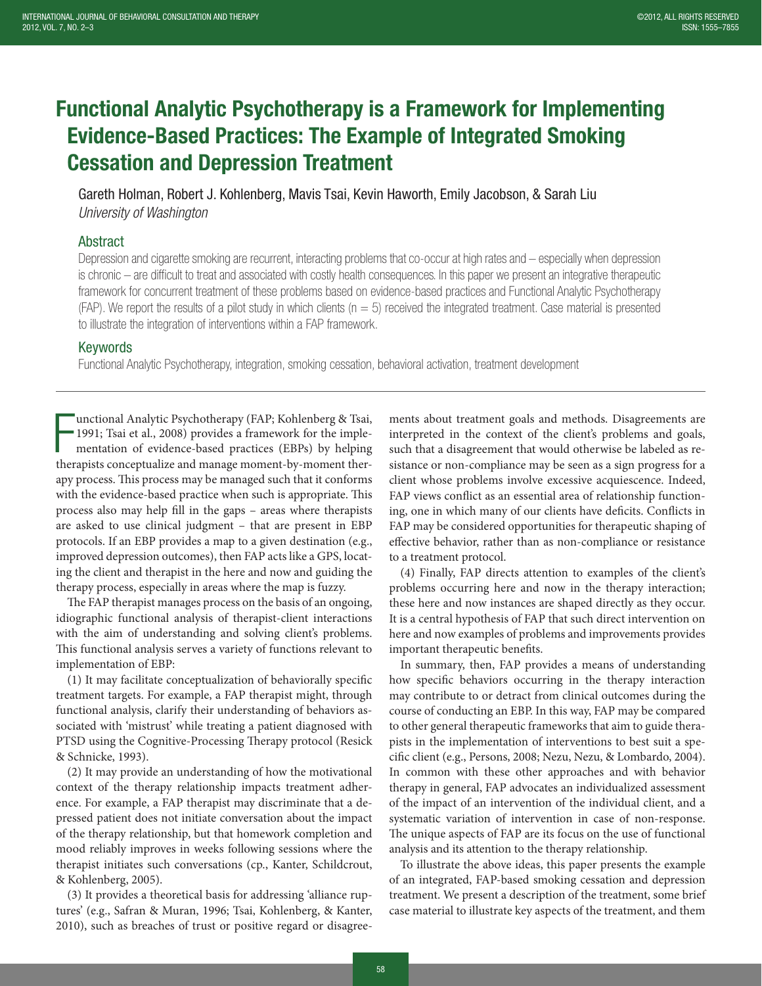# Functional Analytic Psychotherapy is a Framework for Implementing Evidence-Based Practices: The Example of Integrated Smoking Cessation and Depression Treatment

Gareth Holman, Robert J. Kohlenberg, Mavis Tsai, Kevin Haworth, Emily Jacobson, & Sarah Liu University of Washington

## Abstract

Depression and cigarette smoking are recurrent, interacting problems that co-occur at high rates and – especially when depression .<br>| s chronic – are difficult to treat and associated with costly health consequences. In this paper we present an integrative therapeutic framework for concurrent treatment of these problems based on evidence-based practices and Functional Analytic Psychotherapy (FAP). We report the results of a pilot study in which clients ( $n = 5$ ) received the integrated treatment. Case material is presented to illustrate the integration of interventions within a FAP framework.

### Keywords

Functional Analytic Psychotherapy, integration, smoking cessation, behavioral activation, treatment development

F unctional Analytic Psychotherapy (FAP; Kohlenberg & Tsai, 1991; Tsai et al., 2008) provides a framework for the implementation of evidence-based practices (EBPs) by helping therapists conceptualize and manage moment-by-moment therapy process. This process may be managed such that it conforms with the evidence-based practice when such is appropriate. This process also may help fill in the gaps – areas where therapists are asked to use clinical judgment – that are present in EBP protocols. If an EBP provides a map to a given destination (e.g., improved depression outcomes), then FAP acts like a GPS, locating the client and therapist in the here and now and guiding the therapy process, especially in areas where the map is fuzzy.

The FAP therapist manages process on the basis of an ongoing, idiographic functional analysis of therapist-client interactions with the aim of understanding and solving client's problems. This functional analysis serves a variety of functions relevant to implementation of EBP:

(1) It may facilitate conceptualization of behaviorally specific treatment targets. For example, a FAP therapist might, through functional analysis, clarify their understanding of behaviors associated with 'mistrust' while treating a patient diagnosed with PTSD using the Cognitive-Processing Therapy protocol (Resick & Schnicke, 1993).

(2) It may provide an understanding of how the motivational context of the therapy relationship impacts treatment adherence. For example, a FAP therapist may discriminate that a depressed patient does not initiate conversation about the impact of the therapy relationship, but that homework completion and mood reliably improves in weeks following sessions where the therapist initiates such conversations (cp., Kanter, Schildcrout, & Kohlenberg, 2005).

(3) It provides a theoretical basis for addressing 'alliance ruptures' (e.g., Safran & Muran, 1996; Tsai, Kohlenberg, & Kanter, 2010), such as breaches of trust or positive regard or disagreements about treatment goals and methods. Disagreements are interpreted in the context of the client's problems and goals, such that a disagreement that would otherwise be labeled as resistance or non-compliance may be seen as a sign progress for a client whose problems involve excessive acquiescence. Indeed, FAP views conflict as an essential area of relationship functioning, one in which many of our clients have deficits. Conflicts in FAP may be considered opportunities for therapeutic shaping of effective behavior, rather than as non-compliance or resistance to a treatment protocol.

(4) Finally, FAP directs attention to examples of the client's problems occurring here and now in the therapy interaction; these here and now instances are shaped directly as they occur. It is a central hypothesis of FAP that such direct intervention on here and now examples of problems and improvements provides important therapeutic benefits.

In summary, then, FAP provides a means of understanding how specific behaviors occurring in the therapy interaction may contribute to or detract from clinical outcomes during the course of conducting an EBP. In this way, FAP may be compared to other general therapeutic frameworks that aim to guide therapists in the implementation of interventions to best suit a specific client (e.g., Persons, 2008; Nezu, Nezu, & Lombardo, 2004). In common with these other approaches and with behavior therapy in general, FAP advocates an individualized assessment of the impact of an intervention of the individual client, and a systematic variation of intervention in case of non-response. The unique aspects of FAP are its focus on the use of functional analysis and its attention to the therapy relationship.

To illustrate the above ideas, this paper presents the example of an integrated, FAP-based smoking cessation and depression treatment. We present a description of the treatment, some brief case material to illustrate key aspects of the treatment, and them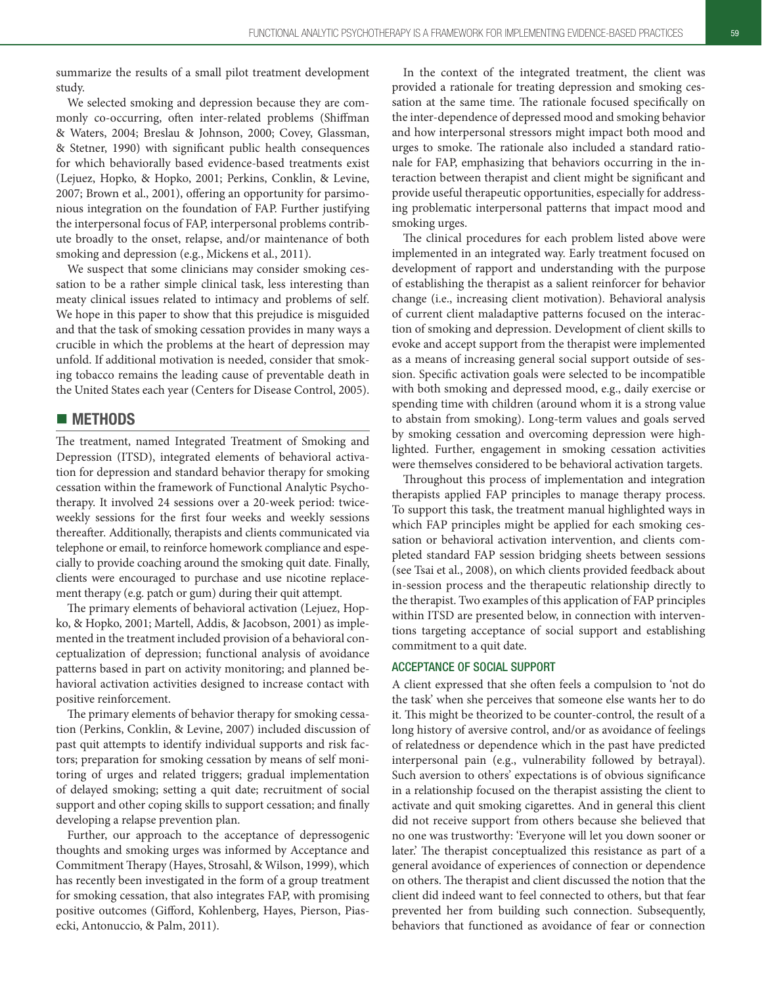summarize the results of a small pilot treatment development study.

We selected smoking and depression because they are commonly co-occurring, often inter-related problems (Shiffman & Waters, 2004; Breslau & Johnson, 2000; Covey, Glassman, & Stetner, 1990) with significant public health consequences for which behaviorally based evidence-based treatments exist (Lejuez, Hopko, & Hopko, 2001; Perkins, Conklin, & Levine, 2007; Brown et al., 2001), offering an opportunity for parsimonious integration on the foundation of FAP. Further justifying the interpersonal focus of FAP, interpersonal problems contribute broadly to the onset, relapse, and/or maintenance of both smoking and depression (e.g., Mickens et al., 2011).

We suspect that some clinicians may consider smoking cessation to be a rather simple clinical task, less interesting than meaty clinical issues related to intimacy and problems of self. We hope in this paper to show that this prejudice is misguided and that the task of smoking cessation provides in many ways a crucible in which the problems at the heart of depression may unfold. If additional motivation is needed, consider that smoking tobacco remains the leading cause of preventable death in the United States each year (Centers for Disease Control, 2005).

# **E** METHODS

The treatment, named Integrated Treatment of Smoking and Depression (ITSD), integrated elements of behavioral activation for depression and standard behavior therapy for smoking cessation within the framework of Functional Analytic Psychotherapy. It involved 24 sessions over a 20-week period: twiceweekly sessions for the first four weeks and weekly sessions thereafter. Additionally, therapists and clients communicated via telephone or email, to reinforce homework compliance and especially to provide coaching around the smoking quit date. Finally, clients were encouraged to purchase and use nicotine replacement therapy (e.g. patch or gum) during their quit attempt.

The primary elements of behavioral activation (Lejuez, Hopko, & Hopko, 2001; Martell, Addis, & Jacobson, 2001) as implemented in the treatment included provision of a behavioral conceptualization of depression; functional analysis of avoidance patterns based in part on activity monitoring; and planned behavioral activation activities designed to increase contact with positive reinforcement.

The primary elements of behavior therapy for smoking cessation (Perkins, Conklin, & Levine, 2007) included discussion of past quit attempts to identify individual supports and risk factors; preparation for smoking cessation by means of self monitoring of urges and related triggers; gradual implementation of delayed smoking; setting a quit date; recruitment of social support and other coping skills to support cessation; and finally developing a relapse prevention plan.

Further, our approach to the acceptance of depressogenic thoughts and smoking urges was informed by Acceptance and Commitment Therapy (Hayes, Strosahl, & Wilson, 1999), which has recently been investigated in the form of a group treatment for smoking cessation, that also integrates FAP, with promising positive outcomes (Gifford, Kohlenberg, Hayes, Pierson, Piasecki, Antonuccio, & Palm, 2011).

In the context of the integrated treatment, the client was provided a rationale for treating depression and smoking cessation at the same time. The rationale focused specifically on the inter-dependence of depressed mood and smoking behavior and how interpersonal stressors might impact both mood and urges to smoke. The rationale also included a standard rationale for FAP, emphasizing that behaviors occurring in the interaction between therapist and client might be significant and provide useful therapeutic opportunities, especially for addressing problematic interpersonal patterns that impact mood and smoking urges.

The clinical procedures for each problem listed above were implemented in an integrated way. Early treatment focused on development of rapport and understanding with the purpose of establishing the therapist as a salient reinforcer for behavior change (i.e., increasing client motivation). Behavioral analysis of current client maladaptive patterns focused on the interaction of smoking and depression. Development of client skills to evoke and accept support from the therapist were implemented as a means of increasing general social support outside of session. Specific activation goals were selected to be incompatible with both smoking and depressed mood, e.g., daily exercise or spending time with children (around whom it is a strong value to abstain from smoking). Long-term values and goals served by smoking cessation and overcoming depression were highlighted. Further, engagement in smoking cessation activities were themselves considered to be behavioral activation targets.

Throughout this process of implementation and integration therapists applied FAP principles to manage therapy process. To support this task, the treatment manual highlighted ways in which FAP principles might be applied for each smoking cessation or behavioral activation intervention, and clients completed standard FAP session bridging sheets between sessions (see Tsai et al., 2008), on which clients provided feedback about in-session process and the therapeutic relationship directly to the therapist. Two examples of this application of FAP principles within ITSD are presented below, in connection with interventions targeting acceptance of social support and establishing commitment to a quit date.

#### ACCEPTANCE OF SOCIAL SUPPORT

A client expressed that she often feels a compulsion to 'not do the task' when she perceives that someone else wants her to do it. This might be theorized to be counter-control, the result of a long history of aversive control, and/or as avoidance of feelings of relatedness or dependence which in the past have predicted interpersonal pain (e.g., vulnerability followed by betrayal). Such aversion to others' expectations is of obvious significance in a relationship focused on the therapist assisting the client to activate and quit smoking cigarettes. And in general this client did not receive support from others because she believed that no one was trustworthy: 'Everyone will let you down sooner or later.' The therapist conceptualized this resistance as part of a general avoidance of experiences of connection or dependence on others. The therapist and client discussed the notion that the client did indeed want to feel connected to others, but that fear prevented her from building such connection. Subsequently, behaviors that functioned as avoidance of fear or connection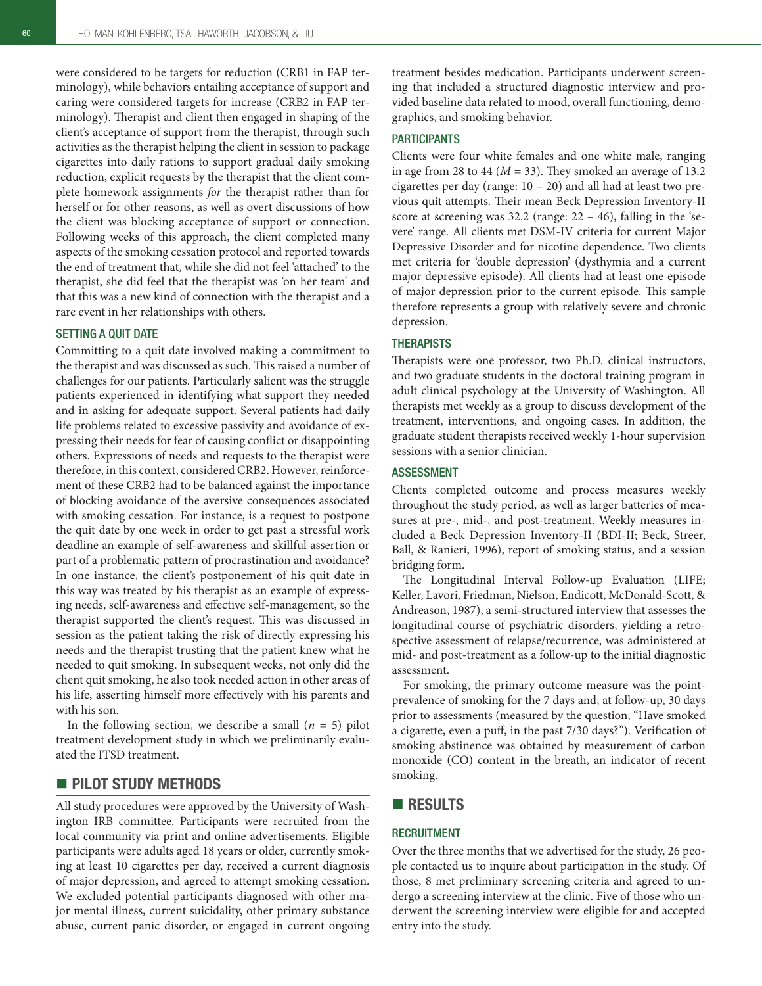were considered to be targets for reduction (CRB1 in FAP terminology), while behaviors entailing acceptance of support and caring were considered targets for increase (CRB2 in FAP terminology). Therapist and client then engaged in shaping of the client's acceptance of support from the therapist, through such activities as the therapist helping the client in session to package cigarettes into daily rations to support gradual daily smoking reduction, explicit requests by the therapist that the client complete homework assignments for the therapist rather than for herself or for other reasons, as well as overt discussions of how the client was blocking acceptance of support or connection. Following weeks of this approach, the client completed many aspects of the smoking cessation protocol and reported towards the end of treatment that, while she did not feel 'attached' to the therapist, she did feel that the therapist was 'on her team' and that this was a new kind of connection with the therapist and a rare event in her relationships with others.

#### SETTING A QUIT DATE

Committing to a quit date involved making a commitment to the therapist and was discussed as such. This raised a number of challenges for our patients. Particularly salient was the struggle patients experienced in identifying what support they needed and in asking for adequate support. Several patients had daily life problems related to excessive passivity and avoidance of expressing their needs for fear of causing conflict or disappointing others. Expressions of needs and requests to the therapist were therefore, in this context, considered CRB2. However, reinforcement of these CRB2 had to be balanced against the importance of blocking avoidance of the aversive consequences associated with smoking cessation. For instance, is a request to postpone the quit date by one week in order to get past a stressful work deadline an example of self-awareness and skillful assertion or part of a problematic pattern of procrastination and avoidance? In one instance, the client's postponement of his quit date in this way was treated by his therapist as an example of expressing needs, self-awareness and effective self-management, so the therapist supported the client's request. This was discussed in session as the patient taking the risk of directly expressing his needs and the therapist trusting that the patient knew what he needed to quit smoking. In subsequent weeks, not only did the client quit smoking, he also took needed action in other areas of his life, asserting himself more effectively with his parents and with his son.

In the following section, we describe a small  $(n = 5)$  pilot treatment development study in which we preliminarily evaluated the ITSD treatment.

# **PILOT STUDY METHODS**

All study procedures were approved by the University of Washington IRB committee. Participants were recruited from the local community via print and online advertisements. Eligible participants were adults aged 18 years or older, currently smoking at least 10 cigarettes per day, received a current diagnosis of major depression, and agreed to attempt smoking cessation. We excluded potential participants diagnosed with other major mental illness, current suicidality, other primary substance abuse, current panic disorder, or engaged in current ongoing treatment besides medication. Participants underwent screening that included a structured diagnostic interview and provided baseline data related to mood, overall functioning, demographics, and smoking behavior.

#### **PARTICIPANTS**

Clients were four white females and one white male, ranging in age from 28 to 44 ( $M = 33$ ). They smoked an average of 13.2 cigarettes per day (range: 10 – 20) and all had at least two previous quit attempts. Their mean Beck Depression Inventory-II score at screening was 32.2 (range: 22 – 46), falling in the 'severe' range. All clients met DSM-IV criteria for current Major Depressive Disorder and for nicotine dependence. Two clients met criteria for 'double depression' (dysthymia and a current major depressive episode). All clients had at least one episode of major depression prior to the current episode. This sample therefore represents a group with relatively severe and chronic depression.

#### **THERAPISTS**

Therapists were one professor, two Ph.D. clinical instructors, and two graduate students in the doctoral training program in adult clinical psychology at the University of Washington. All therapists met weekly as a group to discuss development of the treatment, interventions, and ongoing cases. In addition, the graduate student therapists received weekly 1-hour supervision sessions with a senior clinician.

#### ASSESSMENT

Clients completed outcome and process measures weekly throughout the study period, as well as larger batteries of measures at pre-, mid-, and post-treatment. Weekly measures included a Beck Depression Inventory-II (BDI-II; Beck, Streer, Ball, & Ranieri, 1996), report of smoking status, and a session bridging form.

The Longitudinal Interval Follow-up Evaluation (LIFE; Keller, Lavori, Friedman, Nielson, Endicott, McDonald-Scott, & Andreason, 1987), a semi-structured interview that assesses the longitudinal course of psychiatric disorders, yielding a retrospective assessment of relapse/recurrence, was administered at mid- and post-treatment as a follow-up to the initial diagnostic assessment.

For smoking, the primary outcome measure was the pointprevalence of smoking for the 7 days and, at follow-up, 30 days prior to assessments (measured by the question, "Have smoked a cigarette, even a puff, in the past 7/30 days?"). Verification of smoking abstinence was obtained by measurement of carbon monoxide (CO) content in the breath, an indicator of recent smoking.

# **RESULTS**

### RECRUITMENT

Over the three months that we advertised for the study, 26 people contacted us to inquire about participation in the study. Of those, 8 met preliminary screening criteria and agreed to undergo a screening interview at the clinic. Five of those who underwent the screening interview were eligible for and accepted entry into the study.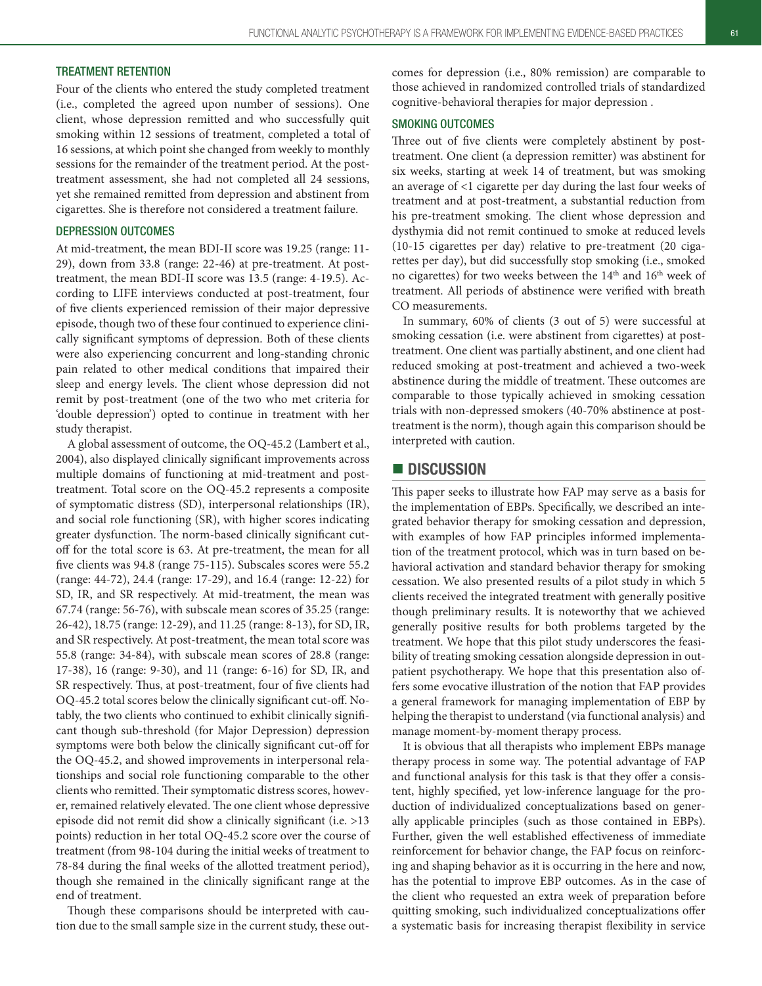#### TREATMENT RETENTION

Four of the clients who entered the study completed treatment (i.e., completed the agreed upon number of sessions). One client, whose depression remitted and who successfully quit smoking within 12 sessions of treatment, completed a total of 16 sessions, at which point she changed from weekly to monthly sessions for the remainder of the treatment period. At the posttreatment assessment, she had not completed all 24 sessions, yet she remained remitted from depression and abstinent from cigarettes. She is therefore not considered a treatment failure.

#### DEPRESSION OUTCOMES

At mid-treatment, the mean BDI-II score was 19.25 (range: 11- 29), down from 33.8 (range: 22-46) at pre-treatment. At posttreatment, the mean BDI-II score was 13.5 (range: 4-19.5). According to LIFE interviews conducted at post-treatment, four of five clients experienced remission of their major depressive episode, though two of these four continued to experience clinically significant symptoms of depression. Both of these clients were also experiencing concurrent and long-standing chronic pain related to other medical conditions that impaired their sleep and energy levels. The client whose depression did not remit by post-treatment (one of the two who met criteria for 'double depression') opted to continue in treatment with her study therapist.

A global assessment of outcome, the OQ-45.2 (Lambert et al., 2004), also displayed clinically significant improvements across multiple domains of functioning at mid-treatment and posttreatment. Total score on the OQ-45.2 represents a composite of symptomatic distress (SD), interpersonal relationships (IR), and social role functioning (SR), with higher scores indicating greater dysfunction. The norm-based clinically significant cutoff for the total score is 63. At pre-treatment, the mean for all five clients was 94.8 (range 75-115). Subscales scores were 55.2 (range: 44-72), 24.4 (range: 17-29), and 16.4 (range: 12-22) for SD, IR, and SR respectively. At mid-treatment, the mean was 67.74 (range: 56-76), with subscale mean scores of 35.25 (range: 26-42), 18.75 (range: 12-29), and 11.25 (range: 8-13), for SD, IR, and SR respectively. At post-treatment, the mean total score was 55.8 (range: 34-84), with subscale mean scores of 28.8 (range: 17-38), 16 (range: 9-30), and 11 (range: 6-16) for SD, IR, and SR respectively. Thus, at post-treatment, four of five clients had OQ-45.2 total scores below the clinically significant cut-off. Notably, the two clients who continued to exhibit clinically significant though sub-threshold (for Major Depression) depression symptoms were both below the clinically significant cut-off for the OQ-45.2, and showed improvements in interpersonal relationships and social role functioning comparable to the other clients who remitted. Their symptomatic distress scores, however, remained relatively elevated. The one client whose depressive episode did not remit did show a clinically significant (i.e. >13 points) reduction in her total OQ-45.2 score over the course of treatment (from 98-104 during the initial weeks of treatment to 78-84 during the final weeks of the allotted treatment period), though she remained in the clinically significant range at the end of treatment.

Though these comparisons should be interpreted with caution due to the small sample size in the current study, these outcomes for depression (i.e., 80% remission) are comparable to those achieved in randomized controlled trials of standardized cognitive-behavioral therapies for major depression .

#### SMOKING OUTCOMES

Three out of five clients were completely abstinent by posttreatment. One client (a depression remitter) was abstinent for six weeks, starting at week 14 of treatment, but was smoking an average of <1 cigarette per day during the last four weeks of treatment and at post-treatment, a substantial reduction from his pre-treatment smoking. The client whose depression and dysthymia did not remit continued to smoke at reduced levels (10-15 cigarettes per day) relative to pre-treatment (20 cigarettes per day), but did successfully stop smoking (i.e., smoked no cigarettes) for two weeks between the 14<sup>th</sup> and 16<sup>th</sup> week of treatment. All periods of abstinence were verified with breath CO measurements.

In summary, 60% of clients (3 out of 5) were successful at smoking cessation (i.e. were abstinent from cigarettes) at posttreatment. One client was partially abstinent, and one client had reduced smoking at post-treatment and achieved a two-week abstinence during the middle of treatment. These outcomes are comparable to those typically achieved in smoking cessation trials with non-depressed smokers (40-70% abstinence at posttreatment is the norm), though again this comparison should be interpreted with caution.

# **DISCUSSION**

This paper seeks to illustrate how FAP may serve as a basis for the implementation of EBPs. Specifically, we described an integrated behavior therapy for smoking cessation and depression, with examples of how FAP principles informed implementation of the treatment protocol, which was in turn based on behavioral activation and standard behavior therapy for smoking cessation. We also presented results of a pilot study in which 5 clients received the integrated treatment with generally positive though preliminary results. It is noteworthy that we achieved generally positive results for both problems targeted by the treatment. We hope that this pilot study underscores the feasibility of treating smoking cessation alongside depression in outpatient psychotherapy. We hope that this presentation also offers some evocative illustration of the notion that FAP provides a general framework for managing implementation of EBP by helping the therapist to understand (via functional analysis) and manage moment-by-moment therapy process.

It is obvious that all therapists who implement EBPs manage therapy process in some way. The potential advantage of FAP and functional analysis for this task is that they offer a consistent, highly specified, yet low-inference language for the production of individualized conceptualizations based on generally applicable principles (such as those contained in EBPs). Further, given the well established effectiveness of immediate reinforcement for behavior change, the FAP focus on reinforcing and shaping behavior as it is occurring in the here and now, has the potential to improve EBP outcomes. As in the case of the client who requested an extra week of preparation before quitting smoking, such individualized conceptualizations offer a systematic basis for increasing therapist flexibility in service